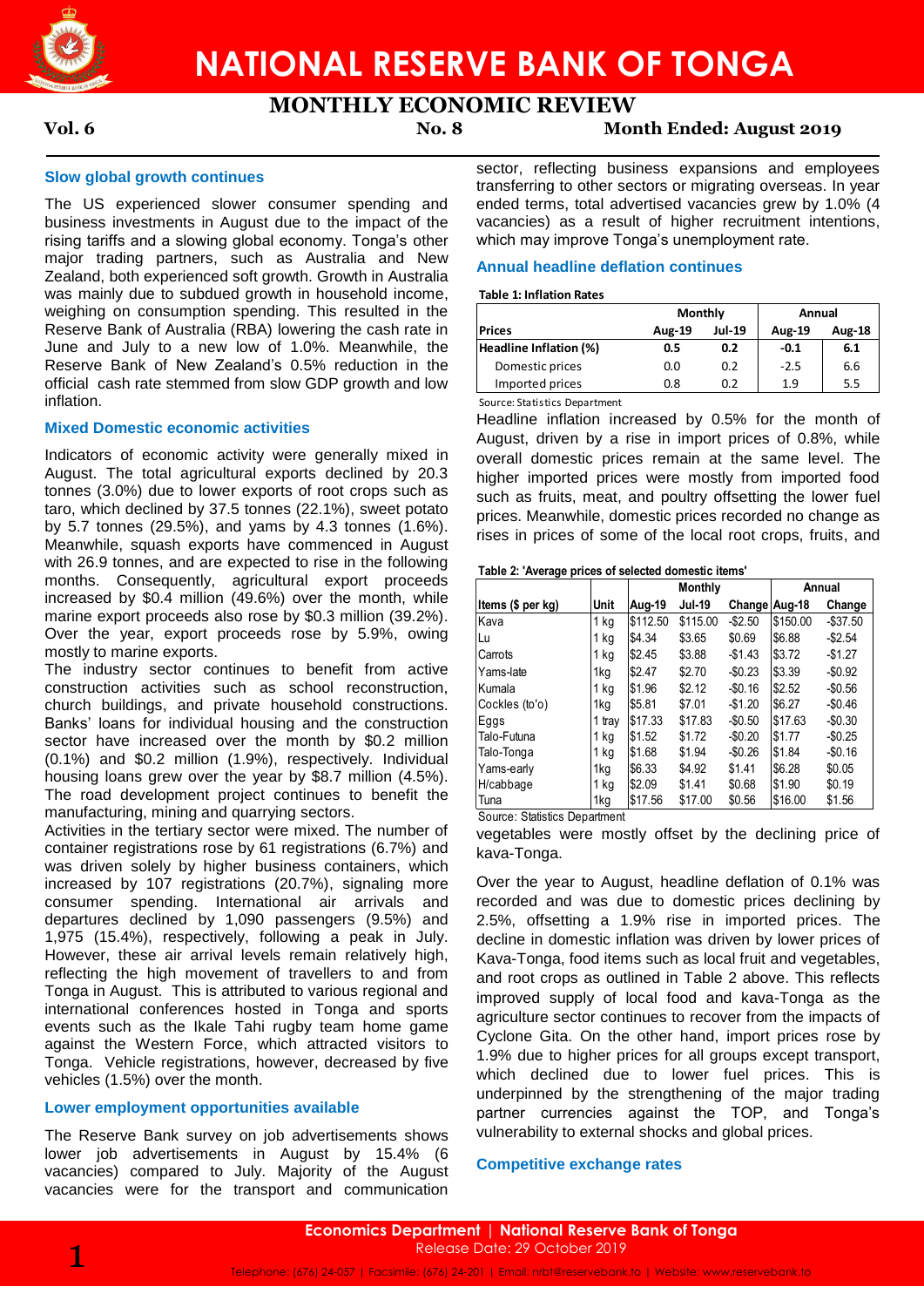

# **MONTHLY ECONOMIC REVIEW**

## **Vol. 6 No. 8 Month Ended: August 2019**

### **Slow global growth continues**

The US experienced slower consumer spending and business investments in August due to the impact of the rising tariffs and a slowing global economy. Tonga's other major trading partners, such as Australia and New Zealand, both experienced soft growth. Growth in Australia was mainly due to subdued growth in household income, weighing on consumption spending. This resulted in the Reserve Bank of Australia (RBA) lowering the cash rate in June and July to a new low of 1.0%. Meanwhile, the Reserve Bank of New Zealand's 0.5% reduction in the official cash rate stemmed from slow GDP growth and low inflation.

#### **Mixed Domestic economic activities**

Indicators of economic activity were generally mixed in August. The total agricultural exports declined by 20.3 tonnes (3.0%) due to lower exports of root crops such as taro, which declined by 37.5 tonnes (22.1%), sweet potato by 5.7 tonnes (29.5%), and yams by 4.3 tonnes (1.6%). Meanwhile, squash exports have commenced in August with 26.9 tonnes, and are expected to rise in the following months. Consequently, agricultural export proceeds increased by \$0.4 million (49.6%) over the month, while marine export proceeds also rose by \$0.3 million (39.2%). Over the year, export proceeds rose by 5.9%, owing mostly to marine exports.

The industry sector continues to benefit from active construction activities such as school reconstruction, church buildings, and private household constructions. Banks' loans for individual housing and the construction sector have increased over the month by \$0.2 million (0.1%) and \$0.2 million (1.9%), respectively. Individual housing loans grew over the year by \$8.7 million (4.5%). The road development project continues to benefit the manufacturing, mining and quarrying sectors.

Activities in the tertiary sector were mixed. The number of container registrations rose by 61 registrations (6.7%) and was driven solely by higher business containers, which increased by 107 registrations (20.7%), signaling more consumer spending. International air arrivals and departures declined by 1,090 passengers (9.5%) and 1,975 (15.4%), respectively, following a peak in July. However, these air arrival levels remain relatively high, reflecting the high movement of travellers to and from Tonga in August. This is attributed to various regional and international conferences hosted in Tonga and sports events such as the Ikale Tahi rugby team home game against the Western Force, which attracted visitors to Tonga. Vehicle registrations, however, decreased by five vehicles (1.5%) over the month.

## **Lower employment opportunities available**

The Reserve Bank survey on job advertisements shows lower job advertisements in August by 15.4% (6 vacancies) compared to July. Majority of the August vacancies were for the transport and communication

sector, reflecting business expansions and employees transferring to other sectors or migrating overseas. In year ended terms, total advertised vacancies grew by 1.0% (4 vacancies) as a result of higher recruitment intentions, which may improve Tonga's unemployment rate.

## **Annual headline deflation continues**

#### **Table 1: Inflation Rates**

|                        | Monthly       |               | Annual        |        |  |
|------------------------|---------------|---------------|---------------|--------|--|
| <b>Prices</b>          | <b>Aug-19</b> | <b>Jul-19</b> | <b>Aug-19</b> | Aug-18 |  |
| Headline Inflation (%) | 0.5           | 0.2           | $-0.1$        | 6.1    |  |
| Domestic prices        | 0.0           | 0.2           | $-2.5$        | 6.6    |  |
| Imported prices        | 0.8           | 0.2           | 1.9           | 5.5    |  |
| __                     |               |               |               |        |  |

Source: Statistics Department

Headline inflation increased by 0.5% for the month of August, driven by a rise in import prices of 0.8%, while overall domestic prices remain at the same level. The higher imported prices were mostly from imported food such as fruits, meat, and poultry offsetting the lower fuel prices. Meanwhile, domestic prices recorded no change as rises in prices of some of the local root crops, fruits, and

#### **Table 2: 'Average prices of selected domestic items'**

|                   |        | Monthly       |               |               | Annual   |           |
|-------------------|--------|---------------|---------------|---------------|----------|-----------|
| Items (\$ per kg) | Unit   | <b>Aug-19</b> | <b>Jul-19</b> | Change Aug-18 |          | Change    |
| Kava              | 1 kg   | \$112.50      | \$115.00      | $-$2.50$      | \$150.00 | $-$37.50$ |
| Lu                | 1 kg   | \$4.34        | \$3.65        | \$0.69        | \$6.88   | $-$2.54$  |
| Carrots           | 1 kg   | \$2.45        | \$3.88        | $-$1.43$      | \$3.72   | $-$1.27$  |
| Yams-late         | 1kg    | \$2.47        | \$2.70        | $-$0.23$      | \$3.39   | $-$0.92$  |
| Kumala            | 1 kg   | \$1.96        | \$2.12        | $-$0.16$      | \$2.52   | $-$0.56$  |
| Cockles (to'o)    | 1kg    | \$5.81        | \$7.01        | $-$1.20$      | \$6.27   | $-$0.46$  |
| Eggs              | 1 tray | \$17.33       | \$17.83       | $-$0.50$      | \$17.63  | $-$0.30$  |
| Talo-Futuna       | 1 ka   | \$1.52        | \$1.72        | $-$0.20$      | \$1.77   | $-$0.25$  |
| Talo-Tonga        | 1 kg   | \$1.68        | \$1.94        | $-$0.26$      | \$1.84   | $-$0.16$  |
| Yams-early        | 1kg    | \$6.33        | \$4.92        | \$1.41        | \$6.28   | \$0.05    |
| H/cabbage         | 1 kg   | \$2.09        | \$1.41        | \$0.68        | \$1.90   | \$0.19    |
| Tuna              | 1kg    | \$17.56       | \$17.00       | \$0.56        | \$16.00  | \$1.56    |

Source: Statistics Department

vegetables were mostly offset by the declining price of kava-Tonga.

Over the year to August, headline deflation of 0.1% was recorded and was due to domestic prices declining by 2.5%, offsetting a 1.9% rise in imported prices. The decline in domestic inflation was driven by lower prices of Kava-Tonga, food items such as local fruit and vegetables, and root crops as outlined in Table 2 above. This reflects improved supply of local food and kava-Tonga as the agriculture sector continues to recover from the impacts of Cyclone Gita. On the other hand, import prices rose by 1.9% due to higher prices for all groups except transport, which declined due to lower fuel prices. This is underpinned by the strengthening of the major trading partner currencies against the TOP, and Tonga's vulnerability to external shocks and global prices.

#### **Competitive exchange rates**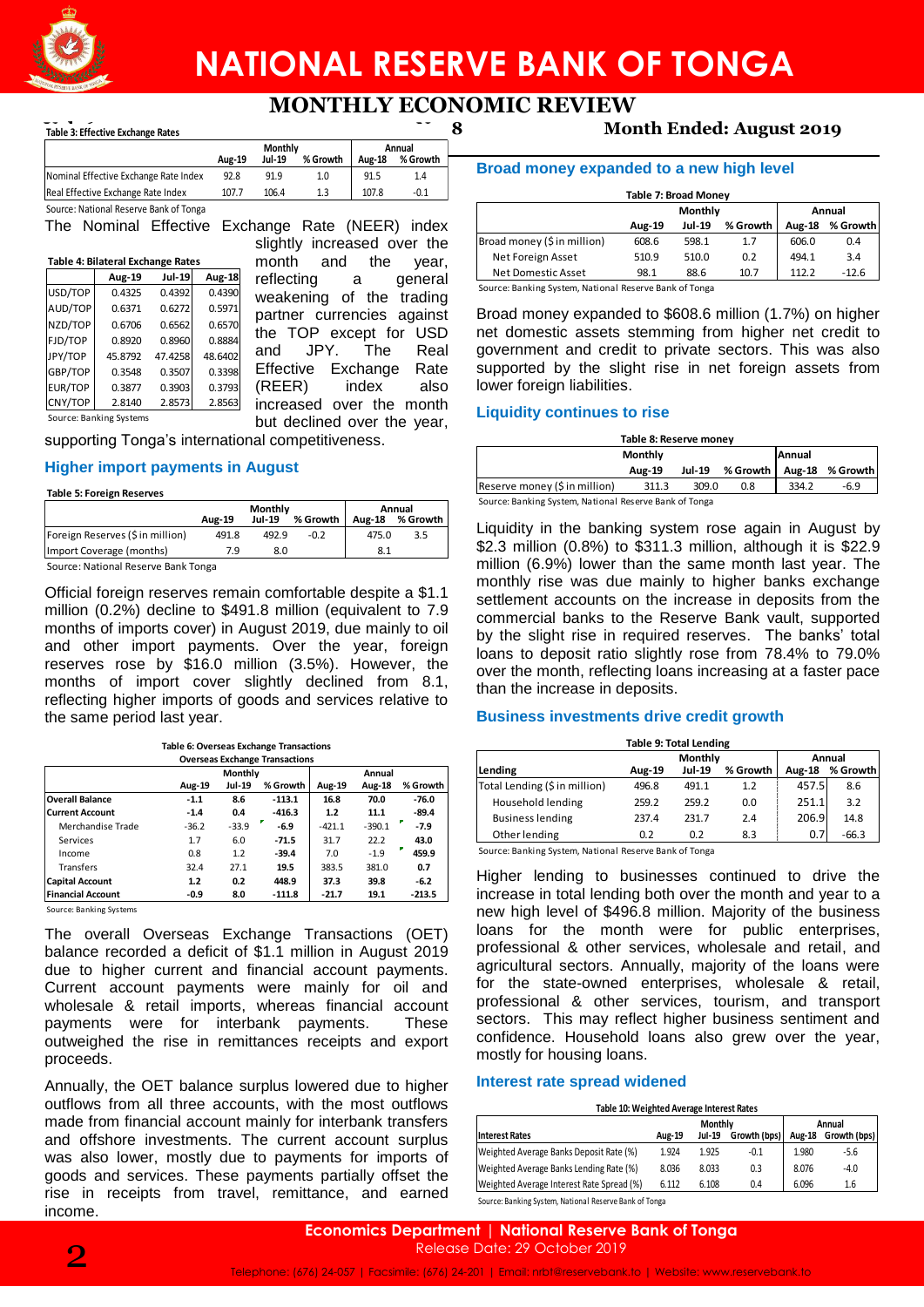

# **NATIONAL RESERVE BANK OF TONGA**

## **MONTHLY ECONOMIC REVIEW**

## **Table 3: Effective Exchange Rates**

|                                        | Monthly |        |          | Annual        |          |  |
|----------------------------------------|---------|--------|----------|---------------|----------|--|
|                                        | Aug-19  | Jul-19 | % Growth | <b>Aug-18</b> | % Growth |  |
| Nominal Effective Exchange Rate Index  | 92.8    | 91.9   | 1.0      | 91.5          | 1.4      |  |
| Real Effective Exchange Rate Index     | 107.7   | 106.4  | 1.3      | 107.8         | $-0.1$   |  |
| Source: National Reserve Bank of Tonga |         |        |          |               |          |  |

The Nominal Effective Exchange Rate (NEER) index

| Table 4: Bilateral Exchange Rates |                         |               |               |  |  |  |  |  |
|-----------------------------------|-------------------------|---------------|---------------|--|--|--|--|--|
|                                   | <b>Aug-19</b>           | <b>Jul-19</b> | <b>Aug-18</b> |  |  |  |  |  |
| USD/TOP                           | 0.4325                  | 0.4392        | 0.4390        |  |  |  |  |  |
| AUD/TOP                           | 0.6371                  | 0.6272        | 0.5971        |  |  |  |  |  |
| NZD/TOP                           | 0.6706                  | 0.6562        | 0.6570        |  |  |  |  |  |
| FJD/TOP                           | 0.8920                  | 0.8960        | 0.8884        |  |  |  |  |  |
| JPY/TOP                           | 45.8792                 | 47.4258       | 48.6402       |  |  |  |  |  |
| GBP/TOP                           | 0.3548                  | 0.3507        | 0.3398        |  |  |  |  |  |
| EUR/TOP                           | 0.3877                  | 0.3903        | 0.3793        |  |  |  |  |  |
| CNY/TOP                           | 2.8140                  | 2.8573        | 2.8563        |  |  |  |  |  |
|                                   | Source: Banking Systems |               |               |  |  |  |  |  |

slightly increased over the month and the year,<br>reflecting a general reflecting a weakening of the trading partner currencies against the TOP except for USD and JPY. The Real Effective Exchange Rate (REER) index also increased over the month but declined over the year,

supporting Tonga's international competitiveness.

## **Higher import payments in August**

#### **Table 5: Foreign Reserves**

|                                     | Monthly       |               |          | Annual        |          |  |
|-------------------------------------|---------------|---------------|----------|---------------|----------|--|
|                                     | <b>Aug-19</b> | <b>Jul-19</b> | % Growth | <b>Aug-18</b> | % Growth |  |
| Foreign Reserves (\$ in million)    | 491.8         | 492.9         | $-0.2$   | 475.0         | 3.5      |  |
| Import Coverage (months)            | 79            | 8.0           |          | 8.1           |          |  |
| Source: National Reserve Bank Tonga |               |               |          |               |          |  |

Official foreign reserves remain comfortable despite a \$1.1 million (0.2%) decline to \$491.8 million (equivalent to 7.9 months of imports cover) in August 2019, due mainly to oil and other import payments. Over the year, foreign reserves rose by \$16.0 million (3.5%). However, the months of import cover slightly declined from 8.1, reflecting higher imports of goods and services relative to the same period last year.

| <b>Overseas Exchange Transactions</b> |         |                |          |          |          |          |
|---------------------------------------|---------|----------------|----------|----------|----------|----------|
|                                       |         | <b>Monthly</b> |          | Annual   |          |          |
|                                       | Aug-19  | Jul-19         | % Growth | Aug-19   | Aug-18   | % Growth |
| <b>Overall Balance</b>                | $-1.1$  | 8.6            | $-113.1$ | 16.8     | 70.0     | $-76.0$  |
| <b>Current Account</b>                | $-1.4$  | 0.4            | $-416.3$ | 1.2      | 11.1     | $-89.4$  |
| Merchandise Trade                     | $-36.2$ | $-33.9$        | $-6.9$   | $-421.1$ | $-390.1$ | $-7.9$   |
| Services                              | 1.7     | 6.0            | $-71.5$  | 31.7     | 22.2     | 43.0     |
| Income                                | 0.8     | 1.2            | $-39.4$  | 7.0      | $-1.9$   | 459.9    |
| <b>Transfers</b>                      | 32.4    | 27.1           | 19.5     | 383.5    | 381.0    | 0.7      |
| <b>Capital Account</b>                | 1.2     | 0.2            | 448.9    | 37.3     | 39.8     | $-6.2$   |
| <b>Financial Account</b>              | $-0.9$  | 8.0            | $-111.8$ | $-21.7$  | 19.1     | $-213.5$ |

Source: Banking Systems

The overall Overseas Exchange Transactions (OET) balance recorded a deficit of \$1.1 million in August 2019 due to higher current and financial account payments. Current account payments were mainly for oil and wholesale & retail imports, whereas financial account payments were for interbank payments. These outweighed the rise in remittances receipts and export proceeds.

Annually, the OET balance surplus lowered due to higher outflows from all three accounts, with the most outflows made from financial account mainly for interbank transfers and offshore investments. The current account surplus was also lower, mostly due to payments for imports of goods and services. These payments partially offset the rise in receipts from travel, remittance, and earned income.

## **Vol. 6 No. 8 Month Ended: August 2019**

## **Broad money expanded to a new high level**

| <b>Table 7: Broad Money</b> |                   |               |               |          |         |  |  |
|-----------------------------|-------------------|---------------|---------------|----------|---------|--|--|
|                             | Monthly<br>Annual |               |               |          |         |  |  |
|                             | Aug-19            | <b>Jul-19</b> | <b>Aug-18</b> | % Growth |         |  |  |
| Broad money (\$ in million) | 608.6             | 598.1         | 1.7           | 606.0    | 0.4     |  |  |
| Net Foreign Asset           | 510.9             | 510.0         | 0.2           | 494.1    | 3.4     |  |  |
| Net Domestic Asset          | 98.1              | 88.6          | 10.7          | 112.2    | $-12.6$ |  |  |

Source: Banking System, National Reserve Bank of Tonga

Broad money expanded to \$608.6 million (1.7%) on higher net domestic assets stemming from higher net credit to government and credit to private sectors. This was also supported by the slight rise in net foreign assets from lower foreign liabilities.

## **Liquidity continues to rise**

| Table 8: Reserve money        |               |       |                 |       |                 |  |  |
|-------------------------------|---------------|-------|-----------------|-------|-----------------|--|--|
| Annual<br><b>Monthly</b>      |               |       |                 |       |                 |  |  |
|                               | <b>Aug-19</b> |       | Jul-19 % Growth |       | Aug-18 % Growth |  |  |
| Reserve money (\$ in million) | 311.3         | 309.0 | 0.8             | 334.2 | -6.9            |  |  |
| .                             |               |       |                 |       |                 |  |  |

Source: Banking System, National Reserve Bank of Tonga

Liquidity in the banking system rose again in August by \$2.3 million (0.8%) to \$311.3 million, although it is \$22.9 million (6.9%) lower than the same month last year. The monthly rise was due mainly to higher banks exchange settlement accounts on the increase in deposits from the commercial banks to the Reserve Bank vault, supported by the slight rise in required reserves. The banks' total loans to deposit ratio slightly rose from 78.4% to 79.0% over the month, reflecting loans increasing at a faster pace than the increase in deposits. The text of the Company of the Company of the Company of the Company of the Company of the Company of the Company of the company (Sin million) 6.86.6 588.1 and the Vear, there is a general of the company of the company exp

## **Business investments drive credit growth**

| <b>Table 9: Total Lending</b> |                                                                                       |       |     |       |         |  |  |  |
|-------------------------------|---------------------------------------------------------------------------------------|-------|-----|-------|---------|--|--|--|
| Lending                       | Monthly<br>Annual<br><b>Jul-19</b><br>% Growth<br>% Growth<br><b>Aug-18</b><br>Aug-19 |       |     |       |         |  |  |  |
| Total Lending (\$ in million) | 496.8                                                                                 | 491.1 | 1.2 | 457.5 | 8.6     |  |  |  |
| Household lending             | 259.2                                                                                 | 259.2 | 0.0 | 251.1 | 3.2     |  |  |  |
| <b>Business lending</b>       | 237.4                                                                                 | 231.7 | 2.4 | 206.9 | 14.8    |  |  |  |
| Other lending                 | 0.2                                                                                   | 0.2   | 8.3 | 0.7   | $-66.3$ |  |  |  |

Source: Banking System, National Reserve Bank of Tonga

Higher lending to businesses continued to drive the increase in total lending both over the month and year to a new high level of \$496.8 million. Majority of the business loans for the month were for public enterprises, professional & other services, wholesale and retail, and agricultural sectors. Annually, majority of the loans were for the state-owned enterprises, wholesale & retail, professional & other services, tourism, and transport sectors. This may reflect higher business sentiment and confidence. Household loans also grew over the year, mostly for housing loans.

#### **Interest rate spread widened**

#### **Table 10: Weighted Average Interest Rates**

|                                           | Monthly                                        |       |               | Annual       |        |
|-------------------------------------------|------------------------------------------------|-------|---------------|--------------|--------|
| <b>Interest Rates</b>                     | Growth (bps)<br><b>Jul-19</b><br><b>Aug-19</b> |       | <b>Aug-18</b> | Growth (bps) |        |
| Weighted Average Banks Deposit Rate (%)   | 1.924                                          | 1.925 | $-0.1$        | 1.980        | $-5.6$ |
| Weighted Average Banks Lending Rate (%)   | 8.036                                          | 8.033 | 0.3           | 8.076        | $-4.0$ |
| Weighted Average Interest Rate Spread (%) | 6.112                                          | 6.108 | 0.4           | 6.096        | 1.6    |
| .                                         |                                                |       |               |              |        |

ource: Banking System, National Reserve Bank of Tonga